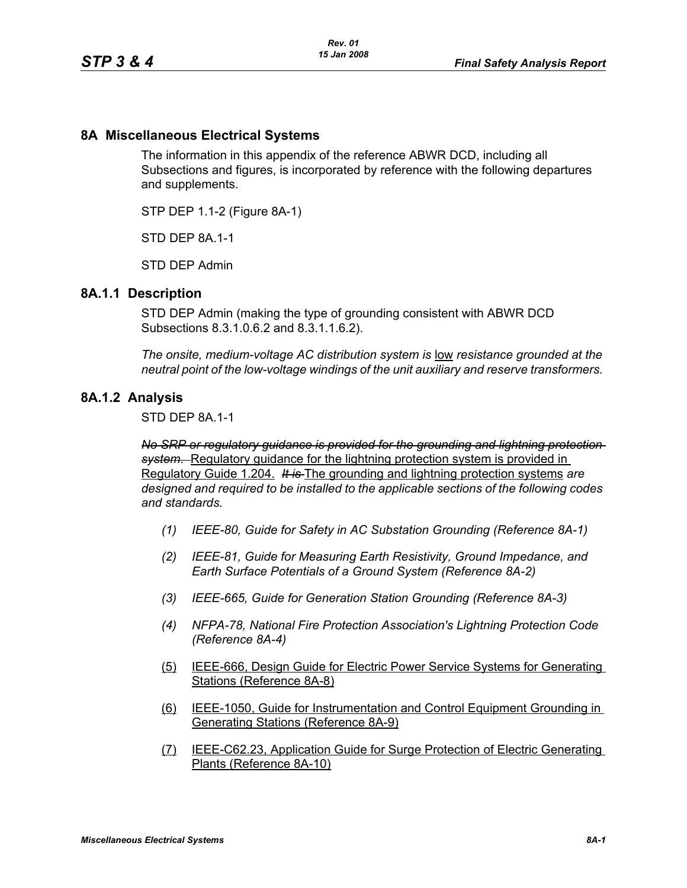## **8A Miscellaneous Electrical Systems**

The information in this appendix of the reference ABWR DCD, including all Subsections and figures, is incorporated by reference with the following departures and supplements.

STP DEP 1.1-2 (Figure 8A-1)

STD DFP 8A 1-1

STD DEP Admin

## **8A.1.1 Description**

STD DEP Admin (making the type of grounding consistent with ABWR DCD Subsections 8.3.1.0.6.2 and 8.3.1.1.6.2).

*The onsite, medium-voltage AC distribution system is* low *resistance grounded at the neutral point of the low-voltage windings of the unit auxiliary and reserve transformers.* 

## **8A.1.2 Analysis**

STD DEP 8A.1-1

*No SRP or regulatory guidance is provided for the grounding and lightning protection system.* Regulatory guidance for the lightning protection system is provided in Regulatory Guide 1.204. *It is* The grounding and lightning protection systems *are designed and required to be installed to the applicable sections of the following codes and standards.*

- *(1) IEEE-80, Guide for Safety in AC Substation Grounding (Reference 8A-1)*
- *(2) IEEE-81, Guide for Measuring Earth Resistivity, Ground Impedance, and Earth Surface Potentials of a Ground System (Reference 8A-2)*
- *(3) IEEE-665, Guide for Generation Station Grounding (Reference 8A-3)*
- *(4) NFPA-78, National Fire Protection Association's Lightning Protection Code (Reference 8A-4)*
- (5) IEEE-666, Design Guide for Electric Power Service Systems for Generating Stations (Reference 8A-8)
- (6) IEEE-1050, Guide for Instrumentation and Control Equipment Grounding in Generating Stations (Reference 8A-9)
- (7) IEEE-C62.23, Application Guide for Surge Protection of Electric Generating Plants (Reference 8A-10)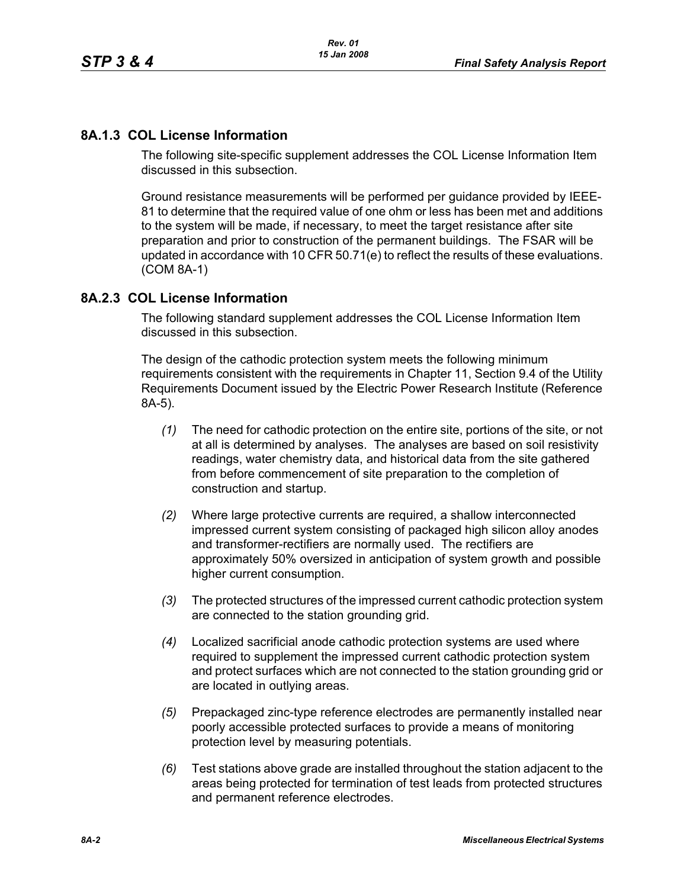# **8A.1.3 COL License Information**

The following site-specific supplement addresses the COL License Information Item discussed in this subsection.

Ground resistance measurements will be performed per guidance provided by IEEE-81 to determine that the required value of one ohm or less has been met and additions to the system will be made, if necessary, to meet the target resistance after site preparation and prior to construction of the permanent buildings. The FSAR will be updated in accordance with 10 CFR 50.71(e) to reflect the results of these evaluations. (COM 8A-1)

# **8A.2.3 COL License Information**

The following standard supplement addresses the COL License Information Item discussed in this subsection.

The design of the cathodic protection system meets the following minimum requirements consistent with the requirements in Chapter 11, Section 9.4 of the Utility Requirements Document issued by the Electric Power Research Institute (Reference 8A-5).

- *(1)* The need for cathodic protection on the entire site, portions of the site, or not at all is determined by analyses. The analyses are based on soil resistivity readings, water chemistry data, and historical data from the site gathered from before commencement of site preparation to the completion of construction and startup.
- *(2)* Where large protective currents are required, a shallow interconnected impressed current system consisting of packaged high silicon alloy anodes and transformer-rectifiers are normally used. The rectifiers are approximately 50% oversized in anticipation of system growth and possible higher current consumption.
- *(3)* The protected structures of the impressed current cathodic protection system are connected to the station grounding grid.
- *(4)* Localized sacrificial anode cathodic protection systems are used where required to supplement the impressed current cathodic protection system and protect surfaces which are not connected to the station grounding grid or are located in outlying areas.
- *(5)* Prepackaged zinc-type reference electrodes are permanently installed near poorly accessible protected surfaces to provide a means of monitoring protection level by measuring potentials.
- *(6)* Test stations above grade are installed throughout the station adjacent to the areas being protected for termination of test leads from protected structures and permanent reference electrodes.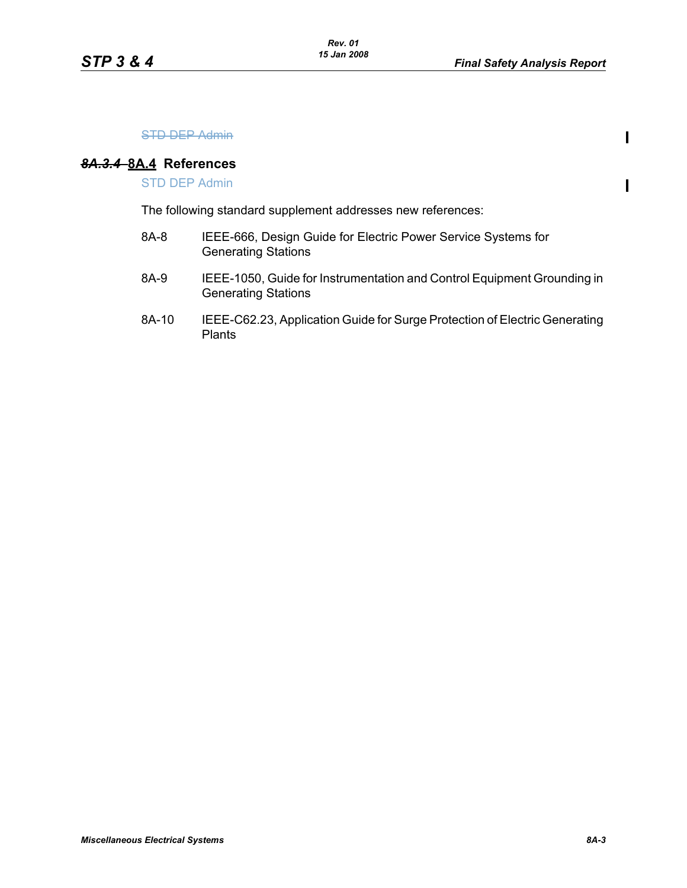$\mathbf{I}$ 

 $\blacksquare$ 

#### STD DEP Admin

#### *8A.3.4* **8A.4 References**

STD DEP Admin

The following standard supplement addresses new references:

- 8A-8 IEEE-666, Design Guide for Electric Power Service Systems for Generating Stations
- 8A-9 IEEE-1050, Guide for Instrumentation and Control Equipment Grounding in Generating Stations
- 8A-10 IEEE-C62.23, Application Guide for Surge Protection of Electric Generating Plants